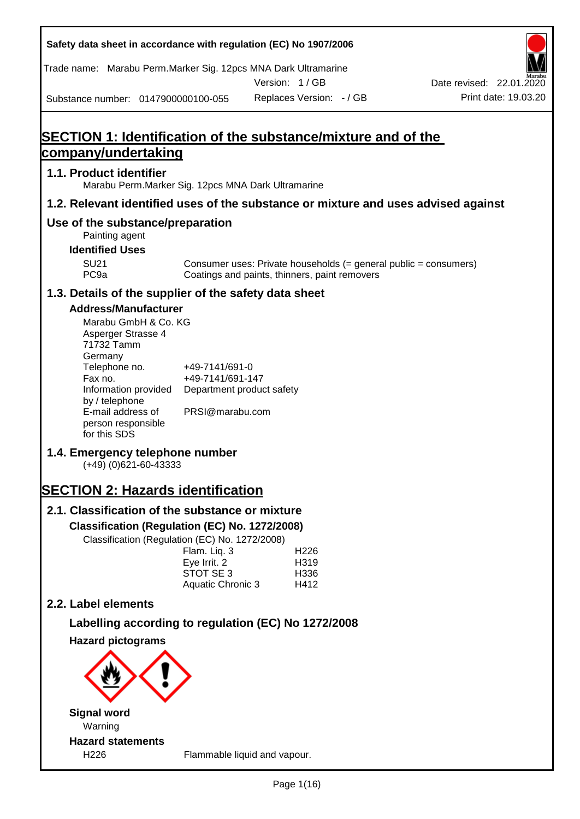| Safety data sheet in accordance with regulation (EC) No 1907/2006                                                                                                                                                                   |                                                                                    |                                                                                                                   |                          |
|-------------------------------------------------------------------------------------------------------------------------------------------------------------------------------------------------------------------------------------|------------------------------------------------------------------------------------|-------------------------------------------------------------------------------------------------------------------|--------------------------|
| Trade name: Marabu Perm. Marker Sig. 12pcs MNA Dark Ultramarine                                                                                                                                                                     |                                                                                    | Version: 1/GB                                                                                                     | Date revised: 22.01.2020 |
| Substance number: 0147900000100-055                                                                                                                                                                                                 |                                                                                    | Replaces Version: - / GB                                                                                          | Print date: 19.03.20     |
| company/undertaking                                                                                                                                                                                                                 |                                                                                    | SECTION 1: Identification of the substance/mixture and of the                                                     |                          |
| 1.1. Product identifier<br>Marabu Perm. Marker Sig. 12pcs MNA Dark Ultramarine                                                                                                                                                      |                                                                                    |                                                                                                                   |                          |
|                                                                                                                                                                                                                                     |                                                                                    | 1.2. Relevant identified uses of the substance or mixture and uses advised against                                |                          |
| Use of the substance/preparation<br>Painting agent<br><b>Identified Uses</b><br><b>SU21</b><br>PC <sub>9a</sub>                                                                                                                     |                                                                                    | Consumer uses: Private households (= general public = consumers)<br>Coatings and paints, thinners, paint removers |                          |
| 1.3. Details of the supplier of the safety data sheet                                                                                                                                                                               |                                                                                    |                                                                                                                   |                          |
| <b>Address/Manufacturer</b><br>Marabu GmbH & Co. KG<br>Asperger Strasse 4<br>71732 Tamm<br>Germany<br>Telephone no.<br>Fax no.<br>Information provided<br>by / telephone<br>E-mail address of<br>person responsible<br>for this SDS | +49-7141/691-0<br>+49-7141/691-147<br>Department product safety<br>PRSI@marabu.com |                                                                                                                   |                          |
| 1.4. Emergency telephone number<br>$(+49)$ (0)621-60-43333                                                                                                                                                                          |                                                                                    |                                                                                                                   |                          |
| <b>SECTION 2: Hazards identification</b>                                                                                                                                                                                            |                                                                                    |                                                                                                                   |                          |
| 2.1. Classification of the substance or mixture<br>Classification (Regulation (EC) No. 1272/2008)<br>Classification (Regulation (EC) No. 1272/2008)                                                                                 | Flam. Liq. 3<br>Eye Irrit. 2<br>STOT SE 3<br>Aquatic Chronic 3                     | H <sub>226</sub><br>H319<br>H336<br>H412                                                                          |                          |
| 2.2. Label elements                                                                                                                                                                                                                 |                                                                                    |                                                                                                                   |                          |
|                                                                                                                                                                                                                                     |                                                                                    | Labelling according to regulation (EC) No 1272/2008                                                               |                          |
| <b>Hazard pictograms</b><br><b>Signal word</b><br>Warning<br><b>Hazard statements</b>                                                                                                                                               |                                                                                    |                                                                                                                   |                          |
| H226                                                                                                                                                                                                                                |                                                                                    | Flammable liquid and vapour.                                                                                      |                          |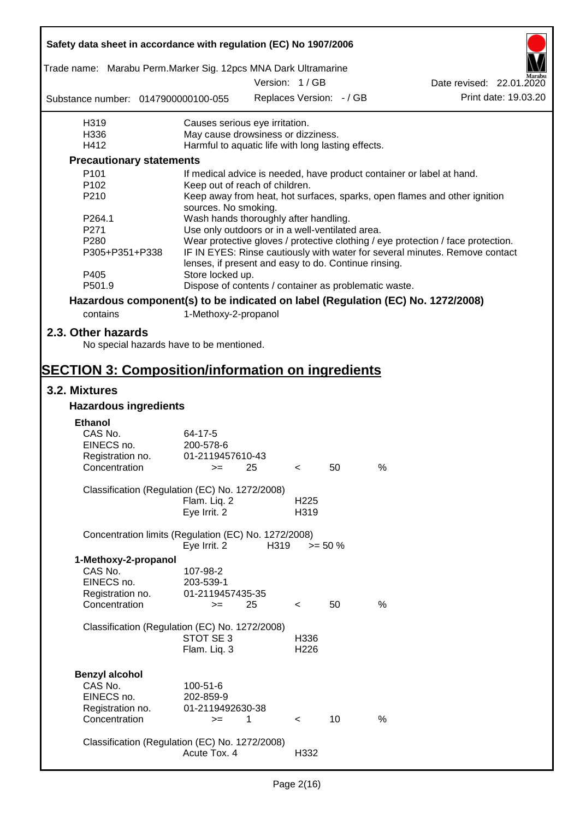| Safety data sheet in accordance with regulation (EC) No 1907/2006               |                                                       |               |                  |                          |                                                                                  |                          |
|---------------------------------------------------------------------------------|-------------------------------------------------------|---------------|------------------|--------------------------|----------------------------------------------------------------------------------|--------------------------|
| Trade name: Marabu Perm.Marker Sig. 12pcs MNA Dark Ultramarine                  |                                                       | Version: 1/GB |                  |                          |                                                                                  |                          |
|                                                                                 |                                                       |               |                  |                          |                                                                                  | Date revised: 22.01.2020 |
| Substance number: 0147900000100-055                                             |                                                       |               |                  | Replaces Version: - / GB |                                                                                  | Print date: 19.03.20     |
| H319                                                                            | Causes serious eye irritation.                        |               |                  |                          |                                                                                  |                          |
| H336                                                                            | May cause drowsiness or dizziness.                    |               |                  |                          |                                                                                  |                          |
| H412                                                                            | Harmful to aquatic life with long lasting effects.    |               |                  |                          |                                                                                  |                          |
| <b>Precautionary statements</b>                                                 |                                                       |               |                  |                          |                                                                                  |                          |
| P <sub>101</sub>                                                                |                                                       |               |                  |                          | If medical advice is needed, have product container or label at hand.            |                          |
| P102                                                                            | Keep out of reach of children.                        |               |                  |                          |                                                                                  |                          |
| P210                                                                            | sources. No smoking.                                  |               |                  |                          | Keep away from heat, hot surfaces, sparks, open flames and other ignition        |                          |
| P <sub>264.1</sub>                                                              | Wash hands thoroughly after handling.                 |               |                  |                          |                                                                                  |                          |
| P271                                                                            | Use only outdoors or in a well-ventilated area.       |               |                  |                          |                                                                                  |                          |
| P280                                                                            |                                                       |               |                  |                          | Wear protective gloves / protective clothing / eye protection / face protection. |                          |
| P305+P351+P338                                                                  | lenses, if present and easy to do. Continue rinsing.  |               |                  |                          | IF IN EYES: Rinse cautiously with water for several minutes. Remove contact      |                          |
| P405                                                                            | Store locked up.                                      |               |                  |                          |                                                                                  |                          |
| P501.9                                                                          | Dispose of contents / container as problematic waste. |               |                  |                          |                                                                                  |                          |
| Hazardous component(s) to be indicated on label (Regulation (EC) No. 1272/2008) |                                                       |               |                  |                          |                                                                                  |                          |
| contains                                                                        | 1-Methoxy-2-propanol                                  |               |                  |                          |                                                                                  |                          |
|                                                                                 |                                                       |               |                  |                          |                                                                                  |                          |
| 2.3. Other hazards                                                              |                                                       |               |                  |                          |                                                                                  |                          |
| No special hazards have to be mentioned.                                        |                                                       |               |                  |                          |                                                                                  |                          |
|                                                                                 |                                                       |               |                  |                          |                                                                                  |                          |
| <b>SECTION 3: Composition/information on ingredients</b>                        |                                                       |               |                  |                          |                                                                                  |                          |
| 3.2. Mixtures                                                                   |                                                       |               |                  |                          |                                                                                  |                          |
| <b>Hazardous ingredients</b>                                                    |                                                       |               |                  |                          |                                                                                  |                          |
|                                                                                 |                                                       |               |                  |                          |                                                                                  |                          |
| <b>Ethanol</b>                                                                  |                                                       |               |                  |                          |                                                                                  |                          |
| CAS No.                                                                         | 64-17-5                                               |               |                  |                          |                                                                                  |                          |
| EINECS no.                                                                      | 200-578-6                                             |               |                  |                          |                                                                                  |                          |
| Registration no.                                                                | 01-2119457610-43                                      |               |                  |                          |                                                                                  |                          |
| Concentration                                                                   | $>=$ 25                                               |               | $\sim$           | 50                       | %                                                                                |                          |
| Classification (Regulation (EC) No. 1272/2008)                                  |                                                       |               |                  |                          |                                                                                  |                          |
|                                                                                 | Flam. Liq. 2                                          |               | H <sub>225</sub> |                          |                                                                                  |                          |
|                                                                                 | Eye Irrit. 2                                          |               | H319             |                          |                                                                                  |                          |
|                                                                                 |                                                       |               |                  |                          |                                                                                  |                          |
| Concentration limits (Regulation (EC) No. 1272/2008)                            | Eye Irrit. 2                                          | H319          |                  | $>= 50 \%$               |                                                                                  |                          |
| 1-Methoxy-2-propanol                                                            |                                                       |               |                  |                          |                                                                                  |                          |
| CAS No.                                                                         | 107-98-2                                              |               |                  |                          |                                                                                  |                          |
| EINECS no.                                                                      | 203-539-1                                             |               |                  |                          |                                                                                  |                          |
|                                                                                 | 01-2119457435-35                                      |               |                  |                          |                                                                                  |                          |
| Registration no.<br>Concentration                                               |                                                       | 25            |                  | 50                       | $\%$                                                                             |                          |
|                                                                                 | $>=$                                                  |               | $\,<\,$          |                          |                                                                                  |                          |
| Classification (Regulation (EC) No. 1272/2008)                                  |                                                       |               |                  |                          |                                                                                  |                          |
|                                                                                 | STOT SE 3                                             |               | H336             |                          |                                                                                  |                          |
|                                                                                 | Flam. Liq. 3                                          |               | H226             |                          |                                                                                  |                          |
|                                                                                 |                                                       |               |                  |                          |                                                                                  |                          |
| <b>Benzyl alcohol</b>                                                           |                                                       |               |                  |                          |                                                                                  |                          |
| CAS No.                                                                         | 100-51-6                                              |               |                  |                          |                                                                                  |                          |
| EINECS no.                                                                      | 202-859-9                                             |               |                  |                          |                                                                                  |                          |
| Registration no.                                                                | 01-2119492630-38                                      |               |                  |                          |                                                                                  |                          |
| Concentration                                                                   | $>=$                                                  | 1             | $\,<\,$          | 10                       | %                                                                                |                          |
|                                                                                 |                                                       |               |                  |                          |                                                                                  |                          |
| Classification (Regulation (EC) No. 1272/2008)                                  |                                                       |               |                  |                          |                                                                                  |                          |
|                                                                                 | Acute Tox. 4                                          |               | H332             |                          |                                                                                  |                          |
|                                                                                 |                                                       |               |                  |                          |                                                                                  |                          |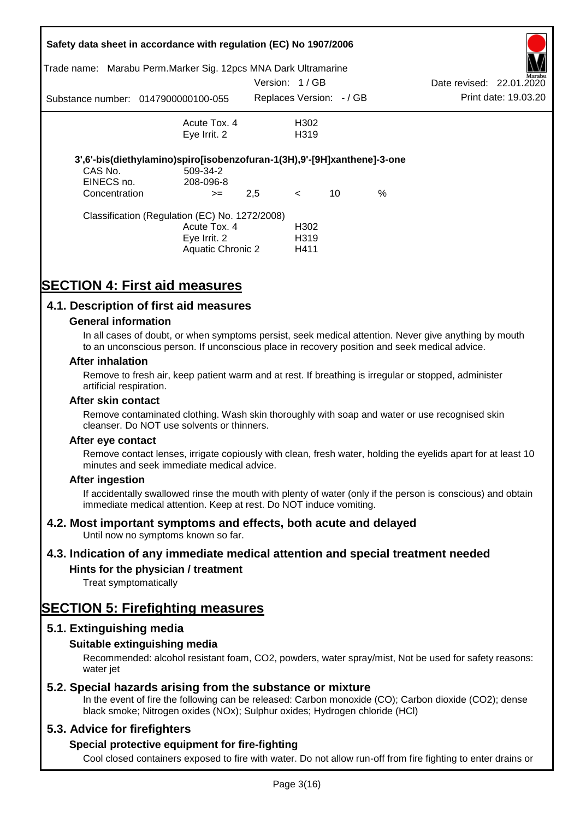|                       | Safety data sheet in accordance with regulation (EC) No 1907/2006<br>Trade name: Marabu Perm. Marker Sig. 12pcs MNA Dark Ultramarine |               |                                               |    |      |                          |                      |
|-----------------------|--------------------------------------------------------------------------------------------------------------------------------------|---------------|-----------------------------------------------|----|------|--------------------------|----------------------|
|                       |                                                                                                                                      | Version: 1/GB |                                               |    |      | Date revised: 22.01.2020 | Aarabu               |
|                       | Substance number: 0147900000100-055                                                                                                  |               | Replaces Version: -/ GB                       |    |      |                          | Print date: 19.03.20 |
|                       | Acute Tox, 4                                                                                                                         |               | H302                                          |    |      |                          |                      |
|                       | Eye Irrit. 2                                                                                                                         |               | H319                                          |    |      |                          |                      |
| CAS No.<br>EINECS no. | 3',6'-bis(diethylamino)spiro[isobenzofuran-1(3H),9'-[9H]xanthene]-3-one<br>509-34-2<br>208-096-8                                     |               |                                               |    |      |                          |                      |
| Concentration         | $>=$                                                                                                                                 | 2,5           | $\lt$                                         | 10 | $\%$ |                          |                      |
|                       | Classification (Regulation (EC) No. 1272/2008)<br>Acute Tox. 4<br>Eye Irrit. 2<br><b>Aquatic Chronic 2</b>                           |               | H <sub>302</sub><br>H <sub>3</sub> 19<br>H411 |    |      |                          |                      |

# **SECTION 4: First aid measures**

## **4.1. Description of first aid measures**

#### **General information**

In all cases of doubt, or when symptoms persist, seek medical attention. Never give anything by mouth to an unconscious person. If unconscious place in recovery position and seek medical advice.

#### **After inhalation**

Remove to fresh air, keep patient warm and at rest. If breathing is irregular or stopped, administer artificial respiration.

#### **After skin contact**

Remove contaminated clothing. Wash skin thoroughly with soap and water or use recognised skin cleanser. Do NOT use solvents or thinners.

#### **After eye contact**

Remove contact lenses, irrigate copiously with clean, fresh water, holding the eyelids apart for at least 10 minutes and seek immediate medical advice.

#### **After ingestion**

If accidentally swallowed rinse the mouth with plenty of water (only if the person is conscious) and obtain immediate medical attention. Keep at rest. Do NOT induce vomiting.

#### **4.2. Most important symptoms and effects, both acute and delayed**

Until now no symptoms known so far.

#### **4.3. Indication of any immediate medical attention and special treatment needed**

#### **Hints for the physician / treatment**

Treat symptomatically

# **SECTION 5: Firefighting measures**

#### **5.1. Extinguishing media**

#### **Suitable extinguishing media**

Recommended: alcohol resistant foam, CO2, powders, water spray/mist, Not be used for safety reasons: water *iet* 

#### **5.2. Special hazards arising from the substance or mixture**

In the event of fire the following can be released: Carbon monoxide (CO); Carbon dioxide (CO2); dense black smoke; Nitrogen oxides (NOx); Sulphur oxides; Hydrogen chloride (HCl)

#### **5.3. Advice for firefighters**

#### **Special protective equipment for fire-fighting**

Cool closed containers exposed to fire with water. Do not allow run-off from fire fighting to enter drains or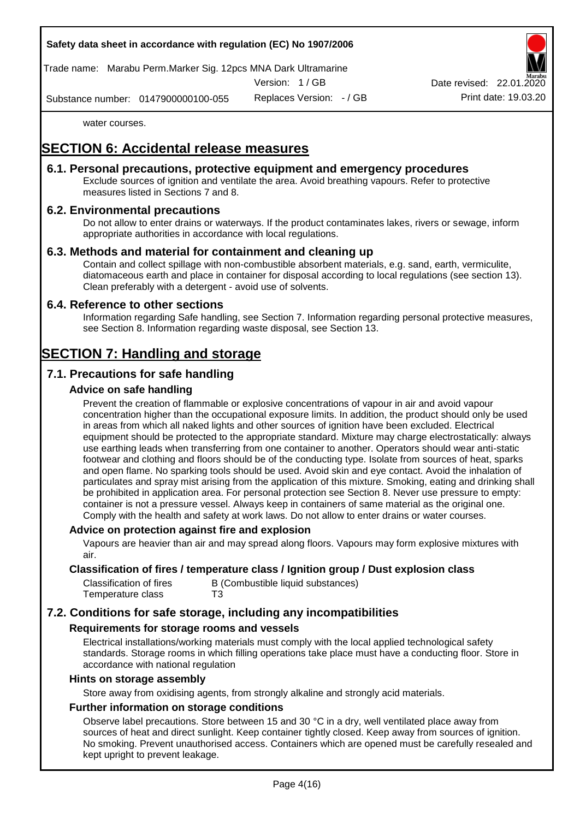Trade name: Marabu Perm.Marker Sig. 12pcs MNA Dark Ultramarine

Version: 1 / GB

Replaces Version: - / GB Print date: 19.03.20 Date revised: 22.01.

Substance number: 0147900000100-055

water courses.

# **SECTION 6: Accidental release measures**

#### **6.1. Personal precautions, protective equipment and emergency procedures**

Exclude sources of ignition and ventilate the area. Avoid breathing vapours. Refer to protective measures listed in Sections 7 and 8.

## **6.2. Environmental precautions**

Do not allow to enter drains or waterways. If the product contaminates lakes, rivers or sewage, inform appropriate authorities in accordance with local regulations.

## **6.3. Methods and material for containment and cleaning up**

Contain and collect spillage with non-combustible absorbent materials, e.g. sand, earth, vermiculite, diatomaceous earth and place in container for disposal according to local regulations (see section 13). Clean preferably with a detergent - avoid use of solvents.

#### **6.4. Reference to other sections**

Information regarding Safe handling, see Section 7. Information regarding personal protective measures, see Section 8. Information regarding waste disposal, see Section 13.

# **SECTION 7: Handling and storage**

# **7.1. Precautions for safe handling**

## **Advice on safe handling**

Prevent the creation of flammable or explosive concentrations of vapour in air and avoid vapour concentration higher than the occupational exposure limits. In addition, the product should only be used in areas from which all naked lights and other sources of ignition have been excluded. Electrical equipment should be protected to the appropriate standard. Mixture may charge electrostatically: always use earthing leads when transferring from one container to another. Operators should wear anti-static footwear and clothing and floors should be of the conducting type. Isolate from sources of heat, sparks and open flame. No sparking tools should be used. Avoid skin and eye contact. Avoid the inhalation of particulates and spray mist arising from the application of this mixture. Smoking, eating and drinking shall be prohibited in application area. For personal protection see Section 8. Never use pressure to empty: container is not a pressure vessel. Always keep in containers of same material as the original one. Comply with the health and safety at work laws. Do not allow to enter drains or water courses.

#### **Advice on protection against fire and explosion**

Vapours are heavier than air and may spread along floors. Vapours may form explosive mixtures with air.

#### **Classification of fires / temperature class / Ignition group / Dust explosion class**

| Classification of fires | B (Combustible liquid substances) |
|-------------------------|-----------------------------------|
| Temperature class       | T3                                |

# **7.2. Conditions for safe storage, including any incompatibilities**

#### **Requirements for storage rooms and vessels**

Electrical installations/working materials must comply with the local applied technological safety standards. Storage rooms in which filling operations take place must have a conducting floor. Store in accordance with national regulation

#### **Hints on storage assembly**

Store away from oxidising agents, from strongly alkaline and strongly acid materials.

#### **Further information on storage conditions**

Observe label precautions. Store between 15 and 30 °C in a dry, well ventilated place away from sources of heat and direct sunlight. Keep container tightly closed. Keep away from sources of ignition. No smoking. Prevent unauthorised access. Containers which are opened must be carefully resealed and kept upright to prevent leakage.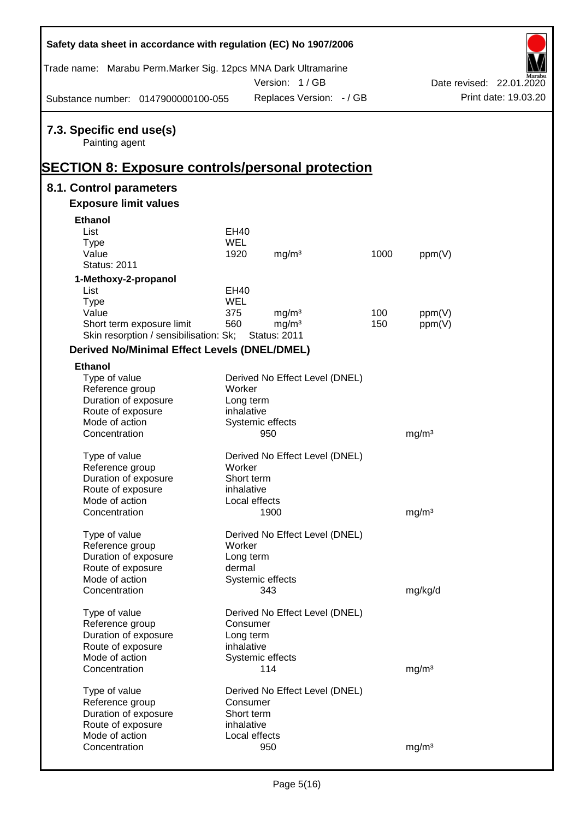| Safety data sheet in accordance with regulation (EC) No 1907/2006                  |            |                                |      |                   |                          |
|------------------------------------------------------------------------------------|------------|--------------------------------|------|-------------------|--------------------------|
| Trade name: Marabu Perm.Marker Sig. 12pcs MNA Dark Ultramarine                     |            | Version: 1/GB                  |      |                   | Date revised: 22.01.2020 |
| Substance number: 0147900000100-055                                                |            | Replaces Version: - / GB       |      |                   | Print date: 19.03.20     |
| 7.3. Specific end use(s)<br>Painting agent                                         |            |                                |      |                   |                          |
| <b>SECTION 8: Exposure controls/personal protection</b><br>8.1. Control parameters |            |                                |      |                   |                          |
| <b>Exposure limit values</b>                                                       |            |                                |      |                   |                          |
| <b>Ethanol</b>                                                                     |            |                                |      |                   |                          |
| List                                                                               | EH40       |                                |      |                   |                          |
| <b>Type</b>                                                                        | WEL        |                                |      |                   |                          |
| Value                                                                              | 1920       | mg/m <sup>3</sup>              | 1000 | ppm(V)            |                          |
| <b>Status: 2011</b>                                                                |            |                                |      |                   |                          |
| 1-Methoxy-2-propanol                                                               |            |                                |      |                   |                          |
| List                                                                               | EH40       |                                |      |                   |                          |
| <b>Type</b>                                                                        | WEL        |                                |      |                   |                          |
| Value                                                                              | 375        | mg/m <sup>3</sup>              | 100  | ppm(V)            |                          |
| Short term exposure limit                                                          | 560        | mg/m <sup>3</sup>              | 150  | ppm(V)            |                          |
| Skin resorption / sensibilisation: Sk;                                             |            | <b>Status: 2011</b>            |      |                   |                          |
| <b>Derived No/Minimal Effect Levels (DNEL/DMEL)</b>                                |            |                                |      |                   |                          |
|                                                                                    |            |                                |      |                   |                          |
| <b>Ethanol</b>                                                                     |            |                                |      |                   |                          |
| Type of value<br>Reference group                                                   | Worker     | Derived No Effect Level (DNEL) |      |                   |                          |
| Duration of exposure                                                               | Long term  |                                |      |                   |                          |
| Route of exposure                                                                  | inhalative |                                |      |                   |                          |
| Mode of action                                                                     |            | Systemic effects               |      |                   |                          |
| Concentration                                                                      |            | 950                            |      | mg/m <sup>3</sup> |                          |
|                                                                                    |            |                                |      |                   |                          |
| Type of value                                                                      |            | Derived No Effect Level (DNEL) |      |                   |                          |
| Reference group                                                                    | Worker     |                                |      |                   |                          |
| Duration of exposure                                                               | Short term |                                |      |                   |                          |
| Route of exposure                                                                  | inhalative |                                |      |                   |                          |
| Mode of action                                                                     |            | Local effects                  |      |                   |                          |
| Concentration                                                                      |            | 1900                           |      | mg/m <sup>3</sup> |                          |
|                                                                                    |            |                                |      |                   |                          |
| Type of value                                                                      |            | Derived No Effect Level (DNEL) |      |                   |                          |
| Reference group                                                                    | Worker     |                                |      |                   |                          |
| Duration of exposure                                                               | Long term  |                                |      |                   |                          |
| Route of exposure                                                                  | dermal     |                                |      |                   |                          |
| Mode of action                                                                     |            | Systemic effects               |      |                   |                          |
| Concentration                                                                      |            | 343                            |      | mg/kg/d           |                          |
| Type of value                                                                      |            | Derived No Effect Level (DNEL) |      |                   |                          |
| Reference group                                                                    | Consumer   |                                |      |                   |                          |
| Duration of exposure                                                               | Long term  |                                |      |                   |                          |
| Route of exposure                                                                  | inhalative |                                |      |                   |                          |
| Mode of action                                                                     |            | Systemic effects               |      |                   |                          |
| Concentration                                                                      |            | 114                            |      | mg/m <sup>3</sup> |                          |
|                                                                                    |            |                                |      |                   |                          |
| Type of value                                                                      |            | Derived No Effect Level (DNEL) |      |                   |                          |
| Reference group                                                                    | Consumer   |                                |      |                   |                          |
| Duration of exposure                                                               | Short term |                                |      |                   |                          |
| Route of exposure                                                                  | inhalative |                                |      |                   |                          |
| Mode of action                                                                     |            | Local effects                  |      |                   |                          |
| Concentration                                                                      |            | 950                            |      | mg/m <sup>3</sup> |                          |
|                                                                                    |            |                                |      |                   |                          |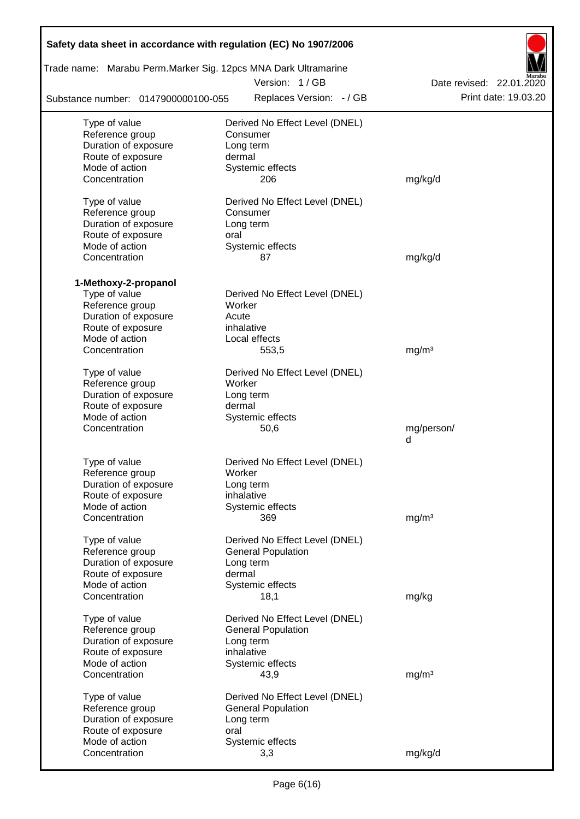| Safety data sheet in accordance with regulation (EC) No 1907/2006 |                                |                          |
|-------------------------------------------------------------------|--------------------------------|--------------------------|
| Trade name: Marabu Perm.Marker Sig. 12pcs MNA Dark Ultramarine    | Version: 1/GB                  | Date revised: 22.01.2020 |
| Substance number: 0147900000100-055                               | Replaces Version: - / GB       | Print date: 19.03.20     |
| Type of value                                                     | Derived No Effect Level (DNEL) |                          |
| Reference group                                                   | Consumer                       |                          |
| Duration of exposure                                              | Long term                      |                          |
| Route of exposure<br>Mode of action                               | dermal                         |                          |
| Concentration                                                     | Systemic effects<br>206        | mg/kg/d                  |
| Type of value                                                     | Derived No Effect Level (DNEL) |                          |
| Reference group                                                   | Consumer                       |                          |
| Duration of exposure                                              | Long term                      |                          |
| Route of exposure                                                 | oral                           |                          |
| Mode of action                                                    | Systemic effects               |                          |
| Concentration                                                     | 87                             | mg/kg/d                  |
| 1-Methoxy-2-propanol                                              |                                |                          |
| Type of value                                                     | Derived No Effect Level (DNEL) |                          |
| Reference group<br>Duration of exposure                           | Worker<br>Acute                |                          |
| Route of exposure                                                 | inhalative                     |                          |
| Mode of action                                                    | Local effects                  |                          |
| Concentration                                                     | 553,5                          | mg/m <sup>3</sup>        |
| Type of value                                                     | Derived No Effect Level (DNEL) |                          |
| Reference group                                                   | Worker                         |                          |
| Duration of exposure                                              | Long term                      |                          |
| Route of exposure                                                 | dermal                         |                          |
| Mode of action                                                    | Systemic effects               |                          |
| Concentration                                                     | 50,6                           | mg/person/<br>d          |
| Type of value                                                     | Derived No Effect Level (DNEL) |                          |
| Reference group                                                   | Worker                         |                          |
| Duration of exposure                                              | Long term                      |                          |
| Route of exposure                                                 | inhalative                     |                          |
| Mode of action                                                    | Systemic effects               |                          |
| Concentration                                                     | 369                            | mg/m <sup>3</sup>        |
| Type of value                                                     | Derived No Effect Level (DNEL) |                          |
| Reference group                                                   | <b>General Population</b>      |                          |
| Duration of exposure                                              | Long term                      |                          |
| Route of exposure                                                 | dermal                         |                          |
| Mode of action                                                    | Systemic effects               |                          |
| Concentration                                                     | 18,1                           | mg/kg                    |
| Type of value                                                     | Derived No Effect Level (DNEL) |                          |
| Reference group                                                   | <b>General Population</b>      |                          |
| Duration of exposure                                              | Long term                      |                          |
| Route of exposure                                                 | inhalative                     |                          |
| Mode of action                                                    | Systemic effects               |                          |
| Concentration                                                     | 43,9                           | mg/m <sup>3</sup>        |
| Type of value                                                     | Derived No Effect Level (DNEL) |                          |
| Reference group                                                   | <b>General Population</b>      |                          |
| Duration of exposure                                              | Long term                      |                          |
| Route of exposure                                                 | oral                           |                          |
| Mode of action                                                    | Systemic effects               |                          |
| Concentration                                                     | 3,3                            | mg/kg/d                  |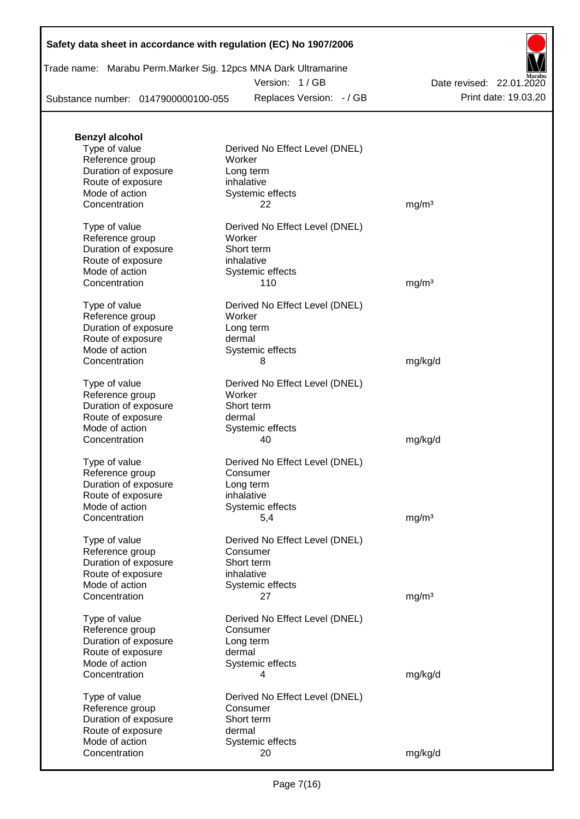| Trade name: Marabu Perm. Marker Sig. 12pcs MNA Dark Ultramarine |  |
|-----------------------------------------------------------------|--|
| Version: 1/GB                                                   |  |

Replaces Version: - / GB Print date: 19.03.20 Date revised: 22.01.2020

Substance number: 0147900000100-055

| <b>Benzyl alcohol</b>                     |                                            |                   |
|-------------------------------------------|--------------------------------------------|-------------------|
| Type of value<br>Reference group          | Derived No Effect Level (DNEL)<br>Worker   |                   |
| Duration of exposure                      | Long term                                  |                   |
| Route of exposure<br>Mode of action       | inhalative<br>Systemic effects             |                   |
| Concentration                             | 22                                         | mg/m <sup>3</sup> |
| Type of value                             | Derived No Effect Level (DNEL)             |                   |
| Reference group                           | Worker                                     |                   |
| Duration of exposure<br>Route of exposure | Short term<br>inhalative                   |                   |
| Mode of action                            | Systemic effects                           |                   |
| Concentration                             | 110                                        | mg/m <sup>3</sup> |
| Type of value                             | Derived No Effect Level (DNEL)             |                   |
| Reference group<br>Duration of exposure   | Worker<br>Long term                        |                   |
| Route of exposure                         | dermal                                     |                   |
| Mode of action<br>Concentration           | Systemic effects<br>8                      |                   |
|                                           |                                            | mg/kg/d           |
| Type of value<br>Reference group          | Derived No Effect Level (DNEL)<br>Worker   |                   |
| Duration of exposure                      | Short term                                 |                   |
| Route of exposure                         | dermal                                     |                   |
| Mode of action<br>Concentration           | Systemic effects<br>40                     | mg/kg/d           |
|                                           |                                            |                   |
| Type of value<br>Reference group          | Derived No Effect Level (DNEL)<br>Consumer |                   |
| Duration of exposure                      | Long term                                  |                   |
| Route of exposure<br>Mode of action       | inhalative                                 |                   |
| Concentration                             | Systemic effects<br>5,4                    | mg/m <sup>3</sup> |
| Type of value                             | Derived No Effect Level (DNEL)             |                   |
| Reference group                           | Consumer                                   |                   |
| Duration of exposure                      | Short term                                 |                   |
| Route of exposure<br>Mode of action       | inhalative<br>Systemic effects             |                   |
| Concentration                             | 27                                         | mg/m <sup>3</sup> |
| Type of value                             | Derived No Effect Level (DNEL)             |                   |
| Reference group                           | Consumer                                   |                   |
| Duration of exposure<br>Route of exposure | Long term<br>dermal                        |                   |
| Mode of action                            | Systemic effects                           |                   |
| Concentration                             | 4                                          | mg/kg/d           |
| Type of value                             | Derived No Effect Level (DNEL)             |                   |
| Reference group<br>Duration of exposure   | Consumer<br>Short term                     |                   |
| Route of exposure                         | dermal                                     |                   |
| Mode of action                            | Systemic effects                           |                   |
| Concentration                             | 20                                         | mg/kg/d           |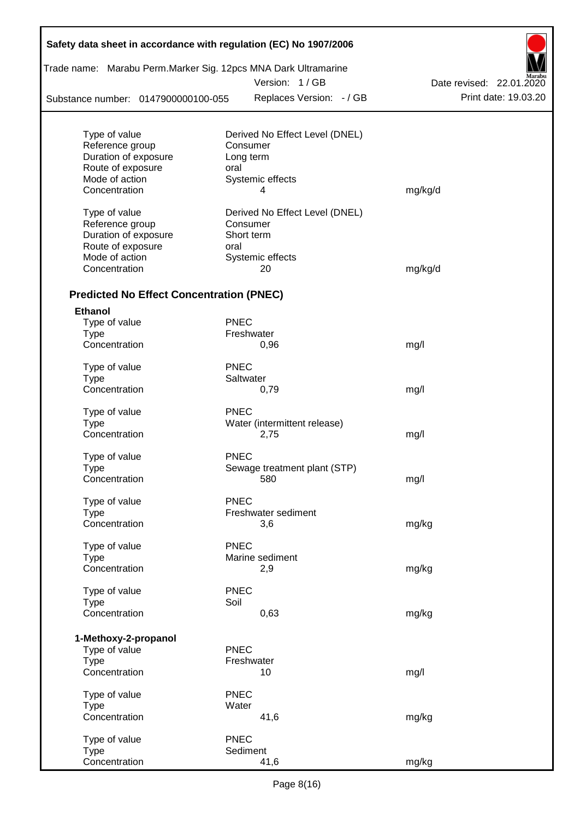| Safety data sheet in accordance with regulation (EC) No 1907/2006 |             |                                |                          |
|-------------------------------------------------------------------|-------------|--------------------------------|--------------------------|
| Trade name: Marabu Perm. Marker Sig. 12pcs MNA Dark Ultramarine   |             | Version: 1/GB                  | Date revised: 22.01.2020 |
| Substance number: 0147900000100-055                               |             | Replaces Version: - / GB       | Print date: 19.03.20     |
|                                                                   |             |                                |                          |
| Type of value                                                     |             | Derived No Effect Level (DNEL) |                          |
| Reference group                                                   |             | Consumer                       |                          |
| Duration of exposure                                              |             | Long term                      |                          |
| Route of exposure                                                 | oral        |                                |                          |
| Mode of action                                                    |             | Systemic effects               |                          |
| Concentration                                                     |             | 4                              | mg/kg/d                  |
| Type of value                                                     |             | Derived No Effect Level (DNEL) |                          |
| Reference group                                                   |             | Consumer                       |                          |
| Duration of exposure                                              |             | Short term                     |                          |
| Route of exposure                                                 | oral        |                                |                          |
| Mode of action                                                    |             | Systemic effects               |                          |
| Concentration                                                     |             | 20                             | mg/kg/d                  |
| <b>Predicted No Effect Concentration (PNEC)</b>                   |             |                                |                          |
| <b>Ethanol</b>                                                    |             |                                |                          |
| Type of value                                                     | <b>PNEC</b> |                                |                          |
| <b>Type</b>                                                       |             | Freshwater                     |                          |
| Concentration                                                     |             | 0,96                           | mg/l                     |
| Type of value                                                     | <b>PNEC</b> |                                |                          |
| <b>Type</b>                                                       |             | Saltwater                      |                          |
| Concentration                                                     |             | 0,79                           | mg/l                     |
| Type of value                                                     | <b>PNEC</b> |                                |                          |
| Type                                                              |             | Water (intermittent release)   |                          |
| Concentration                                                     |             | 2,75                           | mg/l                     |
| Type of value                                                     | <b>PNEC</b> |                                |                          |
| Type                                                              |             | Sewage treatment plant (STP)   |                          |
| Concentration                                                     |             | 580                            | mg/l                     |
|                                                                   |             |                                |                          |
| Type of value                                                     | <b>PNEC</b> | Freshwater sediment            |                          |
| <b>Type</b><br>Concentration                                      |             | 3,6                            |                          |
|                                                                   |             |                                | mg/kg                    |
| Type of value                                                     | <b>PNEC</b> |                                |                          |
| <b>Type</b>                                                       |             | Marine sediment                |                          |
| Concentration                                                     |             | 2,9                            | mg/kg                    |
| Type of value                                                     | <b>PNEC</b> |                                |                          |
| Type                                                              | Soil        |                                |                          |
| Concentration                                                     |             | 0,63                           | mg/kg                    |
|                                                                   |             |                                |                          |
| 1-Methoxy-2-propanol<br>Type of value                             | <b>PNEC</b> |                                |                          |
| <b>Type</b>                                                       |             | Freshwater                     |                          |
| Concentration                                                     |             | 10                             | mg/l                     |
| Type of value                                                     | <b>PNEC</b> |                                |                          |
| <b>Type</b>                                                       | Water       |                                |                          |
| Concentration                                                     |             | 41,6                           | mg/kg                    |
|                                                                   |             |                                |                          |
| Type of value<br><b>Type</b>                                      | <b>PNEC</b> | Sediment                       |                          |
| Concentration                                                     |             | 41,6                           | mg/kg                    |

 $\mathsf{r}$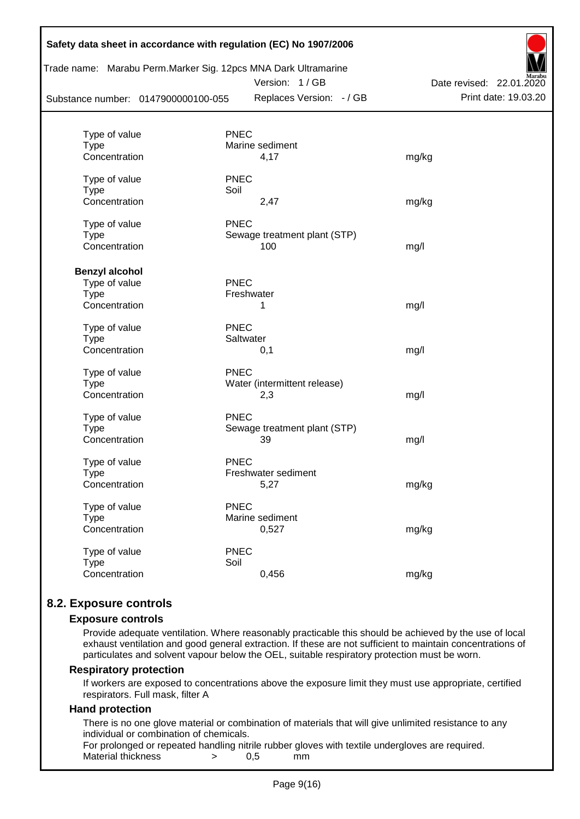| Safety data sheet in accordance with regulation (EC) No 1907/2006                                      |             |                                           |                                                  |
|--------------------------------------------------------------------------------------------------------|-------------|-------------------------------------------|--------------------------------------------------|
| Trade name: Marabu Perm. Marker Sig. 12pcs MNA Dark Ultramarine<br>Substance number: 0147900000100-055 |             | Version: 1/GB<br>Replaces Version: - / GB | Date revised: 22.01.2020<br>Print date: 19.03.20 |
|                                                                                                        |             |                                           |                                                  |
| Type of value<br><b>Type</b>                                                                           | <b>PNEC</b> | Marine sediment                           |                                                  |
| Concentration                                                                                          |             | 4,17                                      | mg/kg                                            |
| Type of value                                                                                          | <b>PNEC</b> |                                           |                                                  |
| <b>Type</b>                                                                                            | Soil        |                                           |                                                  |
| Concentration                                                                                          |             | 2,47                                      | mg/kg                                            |
| Type of value                                                                                          | <b>PNEC</b> |                                           |                                                  |
| <b>Type</b>                                                                                            |             | Sewage treatment plant (STP)              |                                                  |
| Concentration                                                                                          |             | 100                                       | mg/l                                             |
| <b>Benzyl alcohol</b>                                                                                  |             |                                           |                                                  |
| Type of value                                                                                          | <b>PNEC</b> |                                           |                                                  |
| <b>Type</b>                                                                                            |             | Freshwater                                |                                                  |
| Concentration                                                                                          |             | 1                                         | mg/l                                             |
| Type of value                                                                                          | <b>PNEC</b> |                                           |                                                  |
| <b>Type</b>                                                                                            | Saltwater   |                                           |                                                  |
| Concentration                                                                                          |             | 0,1                                       | mg/l                                             |
| Type of value                                                                                          | <b>PNEC</b> |                                           |                                                  |
| <b>Type</b>                                                                                            |             | Water (intermittent release)              |                                                  |
| Concentration                                                                                          |             | 2,3                                       | mg/l                                             |
| Type of value                                                                                          | <b>PNEC</b> |                                           |                                                  |
| <b>Type</b>                                                                                            |             | Sewage treatment plant (STP)              |                                                  |
| Concentration                                                                                          |             | 39                                        | mg/l                                             |
| Type of value                                                                                          | <b>PNEC</b> |                                           |                                                  |
| Type                                                                                                   |             | Freshwater sediment                       |                                                  |
| Concentration                                                                                          |             | 5,27                                      | mg/kg                                            |
| Type of value                                                                                          | <b>PNEC</b> |                                           |                                                  |
| <b>Type</b>                                                                                            |             | Marine sediment                           |                                                  |
| Concentration                                                                                          |             | 0,527                                     | mg/kg                                            |
| Type of value                                                                                          | <b>PNEC</b> |                                           |                                                  |
| <b>Type</b>                                                                                            | Soil        |                                           |                                                  |
| Concentration                                                                                          |             | 0,456                                     | mg/kg                                            |
|                                                                                                        |             |                                           |                                                  |

# **8.2. Exposure controls**

#### **Exposure controls**

Provide adequate ventilation. Where reasonably practicable this should be achieved by the use of local exhaust ventilation and good general extraction. If these are not sufficient to maintain concentrations of particulates and solvent vapour below the OEL, suitable respiratory protection must be worn.

#### **Respiratory protection**

If workers are exposed to concentrations above the exposure limit they must use appropriate, certified respirators. Full mask, filter A

#### **Hand protection**

There is no one glove material or combination of materials that will give unlimited resistance to any individual or combination of chemicals.

For prolonged or repeated handling nitrile rubber gloves with textile undergloves are required. Material thickness  $\rightarrow$  0.5 mm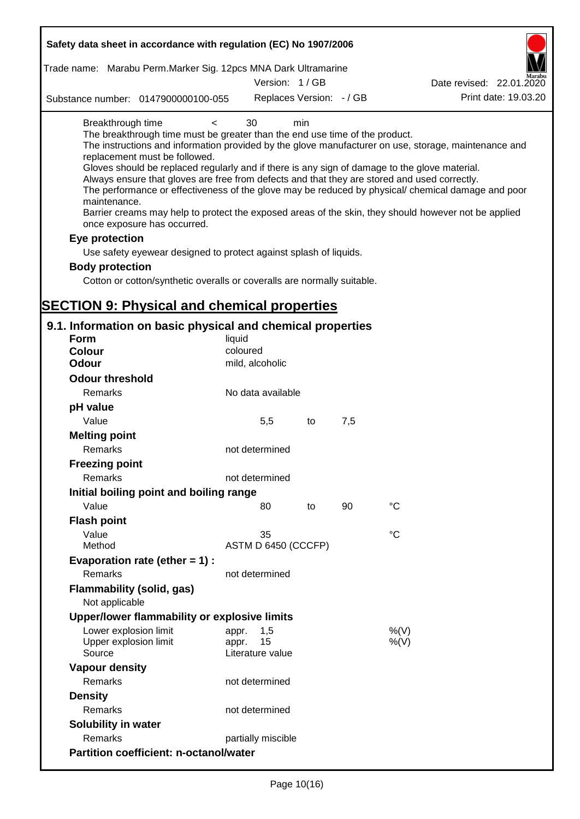| Safety data sheet in accordance with regulation (EC) No 1907/2006                                                                                                                                                                                                                                                                                                                            |                                                 |     |     |                                                                                                                                                                                                                                                                                                                    |
|----------------------------------------------------------------------------------------------------------------------------------------------------------------------------------------------------------------------------------------------------------------------------------------------------------------------------------------------------------------------------------------------|-------------------------------------------------|-----|-----|--------------------------------------------------------------------------------------------------------------------------------------------------------------------------------------------------------------------------------------------------------------------------------------------------------------------|
| Trade name: Marabu Perm.Marker Sig. 12pcs MNA Dark Ultramarine                                                                                                                                                                                                                                                                                                                               |                                                 |     |     |                                                                                                                                                                                                                                                                                                                    |
|                                                                                                                                                                                                                                                                                                                                                                                              | Version: 1/GB                                   |     |     | Date revised: 22.01.2020                                                                                                                                                                                                                                                                                           |
| Substance number: 0147900000100-055                                                                                                                                                                                                                                                                                                                                                          | Replaces Version: - / GB                        |     |     | Print date: 19.03.20                                                                                                                                                                                                                                                                                               |
| Breakthrough time<br>$\,<\,$<br>The breakthrough time must be greater than the end use time of the product.<br>replacement must be followed.<br>Gloves should be replaced regularly and if there is any sign of damage to the glove material.<br>Always ensure that gloves are free from defects and that they are stored and used correctly.<br>maintenance.<br>once exposure has occurred. | 30                                              | min |     | The instructions and information provided by the glove manufacturer on use, storage, maintenance and<br>The performance or effectiveness of the glove may be reduced by physical/ chemical damage and poor<br>Barrier creams may help to protect the exposed areas of the skin, they should however not be applied |
| Eye protection                                                                                                                                                                                                                                                                                                                                                                               |                                                 |     |     |                                                                                                                                                                                                                                                                                                                    |
| Use safety eyewear designed to protect against splash of liquids.                                                                                                                                                                                                                                                                                                                            |                                                 |     |     |                                                                                                                                                                                                                                                                                                                    |
| <b>Body protection</b>                                                                                                                                                                                                                                                                                                                                                                       |                                                 |     |     |                                                                                                                                                                                                                                                                                                                    |
| Cotton or cotton/synthetic overalls or coveralls are normally suitable.                                                                                                                                                                                                                                                                                                                      |                                                 |     |     |                                                                                                                                                                                                                                                                                                                    |
|                                                                                                                                                                                                                                                                                                                                                                                              |                                                 |     |     |                                                                                                                                                                                                                                                                                                                    |
| <b>SECTION 9: Physical and chemical properties</b>                                                                                                                                                                                                                                                                                                                                           |                                                 |     |     |                                                                                                                                                                                                                                                                                                                    |
| 9.1. Information on basic physical and chemical properties                                                                                                                                                                                                                                                                                                                                   |                                                 |     |     |                                                                                                                                                                                                                                                                                                                    |
| <b>Form</b>                                                                                                                                                                                                                                                                                                                                                                                  | liquid                                          |     |     |                                                                                                                                                                                                                                                                                                                    |
| <b>Colour</b>                                                                                                                                                                                                                                                                                                                                                                                | coloured                                        |     |     |                                                                                                                                                                                                                                                                                                                    |
| <b>Odour</b>                                                                                                                                                                                                                                                                                                                                                                                 | mild, alcoholic                                 |     |     |                                                                                                                                                                                                                                                                                                                    |
| <b>Odour threshold</b>                                                                                                                                                                                                                                                                                                                                                                       |                                                 |     |     |                                                                                                                                                                                                                                                                                                                    |
| Remarks                                                                                                                                                                                                                                                                                                                                                                                      | No data available                               |     |     |                                                                                                                                                                                                                                                                                                                    |
| pH value                                                                                                                                                                                                                                                                                                                                                                                     |                                                 |     |     |                                                                                                                                                                                                                                                                                                                    |
| Value                                                                                                                                                                                                                                                                                                                                                                                        | 5,5                                             | to  | 7,5 |                                                                                                                                                                                                                                                                                                                    |
| <b>Melting point</b>                                                                                                                                                                                                                                                                                                                                                                         |                                                 |     |     |                                                                                                                                                                                                                                                                                                                    |
| Remarks                                                                                                                                                                                                                                                                                                                                                                                      | not determined                                  |     |     |                                                                                                                                                                                                                                                                                                                    |
| <b>Freezing point</b>                                                                                                                                                                                                                                                                                                                                                                        |                                                 |     |     |                                                                                                                                                                                                                                                                                                                    |
| Remarks                                                                                                                                                                                                                                                                                                                                                                                      | not determined                                  |     |     |                                                                                                                                                                                                                                                                                                                    |
| Initial boiling point and boiling range                                                                                                                                                                                                                                                                                                                                                      |                                                 |     |     |                                                                                                                                                                                                                                                                                                                    |
| Value                                                                                                                                                                                                                                                                                                                                                                                        | 80                                              | to  | 90  | $^{\circ}C$                                                                                                                                                                                                                                                                                                        |
| <b>Flash point</b>                                                                                                                                                                                                                                                                                                                                                                           |                                                 |     |     |                                                                                                                                                                                                                                                                                                                    |
| Value                                                                                                                                                                                                                                                                                                                                                                                        | 35                                              |     |     | $\rm ^{\circ}C$                                                                                                                                                                                                                                                                                                    |
| Method                                                                                                                                                                                                                                                                                                                                                                                       | ASTM D 6450 (CCCFP)                             |     |     |                                                                                                                                                                                                                                                                                                                    |
| Evaporation rate (ether $= 1$ ) :                                                                                                                                                                                                                                                                                                                                                            |                                                 |     |     |                                                                                                                                                                                                                                                                                                                    |
| Remarks                                                                                                                                                                                                                                                                                                                                                                                      | not determined                                  |     |     |                                                                                                                                                                                                                                                                                                                    |
| <b>Flammability (solid, gas)</b>                                                                                                                                                                                                                                                                                                                                                             |                                                 |     |     |                                                                                                                                                                                                                                                                                                                    |
| Not applicable                                                                                                                                                                                                                                                                                                                                                                               |                                                 |     |     |                                                                                                                                                                                                                                                                                                                    |
| Upper/lower flammability or explosive limits                                                                                                                                                                                                                                                                                                                                                 |                                                 |     |     |                                                                                                                                                                                                                                                                                                                    |
| Lower explosion limit<br>Upper explosion limit<br>Source                                                                                                                                                                                                                                                                                                                                     | 1,5<br>appr.<br>15<br>appr.<br>Literature value |     |     | %(V)<br>$%$ (V)                                                                                                                                                                                                                                                                                                    |
| <b>Vapour density</b>                                                                                                                                                                                                                                                                                                                                                                        |                                                 |     |     |                                                                                                                                                                                                                                                                                                                    |
| Remarks                                                                                                                                                                                                                                                                                                                                                                                      | not determined                                  |     |     |                                                                                                                                                                                                                                                                                                                    |
| <b>Density</b>                                                                                                                                                                                                                                                                                                                                                                               |                                                 |     |     |                                                                                                                                                                                                                                                                                                                    |
| Remarks                                                                                                                                                                                                                                                                                                                                                                                      | not determined                                  |     |     |                                                                                                                                                                                                                                                                                                                    |
| Solubility in water                                                                                                                                                                                                                                                                                                                                                                          |                                                 |     |     |                                                                                                                                                                                                                                                                                                                    |
| Remarks                                                                                                                                                                                                                                                                                                                                                                                      | partially miscible                              |     |     |                                                                                                                                                                                                                                                                                                                    |
| <b>Partition coefficient: n-octanol/water</b>                                                                                                                                                                                                                                                                                                                                                |                                                 |     |     |                                                                                                                                                                                                                                                                                                                    |
|                                                                                                                                                                                                                                                                                                                                                                                              |                                                 |     |     |                                                                                                                                                                                                                                                                                                                    |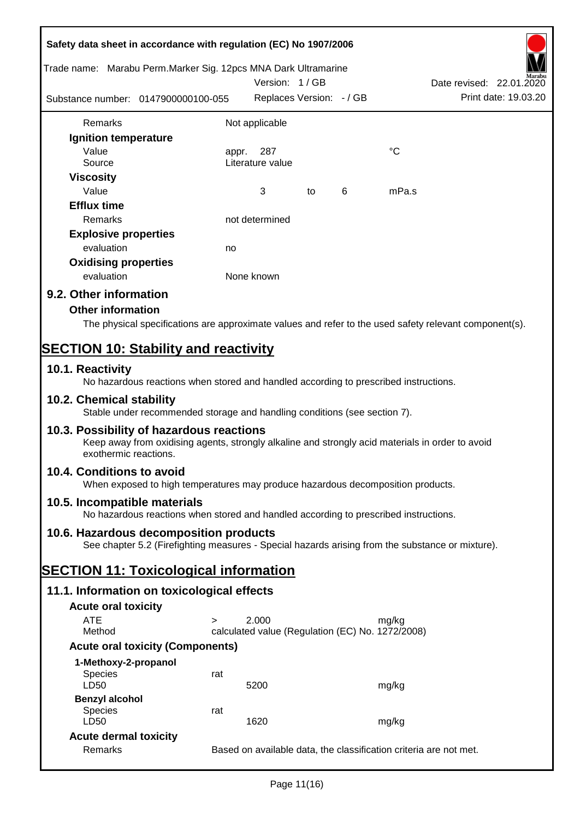| Safety data sheet in accordance with regulation (EC) No 1907/2006                                                                                                     |                                                                   |                                                  |    |   |                                                                                                        |  |
|-----------------------------------------------------------------------------------------------------------------------------------------------------------------------|-------------------------------------------------------------------|--------------------------------------------------|----|---|--------------------------------------------------------------------------------------------------------|--|
| Trade name: Marabu Perm.Marker Sig. 12pcs MNA Dark Ultramarine                                                                                                        |                                                                   | Version: 1/GB                                    |    |   | Date revised: 22.01.2020                                                                               |  |
| Substance number: 0147900000100-055                                                                                                                                   |                                                                   | Replaces Version: - / GB                         |    |   | Print date: 19.03.20                                                                                   |  |
| Remarks                                                                                                                                                               |                                                                   | Not applicable                                   |    |   |                                                                                                        |  |
| Ignition temperature                                                                                                                                                  |                                                                   |                                                  |    |   |                                                                                                        |  |
| Value                                                                                                                                                                 | appr.                                                             | 287                                              |    |   | °C                                                                                                     |  |
| Source                                                                                                                                                                |                                                                   | Literature value                                 |    |   |                                                                                                        |  |
| <b>Viscosity</b>                                                                                                                                                      |                                                                   |                                                  |    |   |                                                                                                        |  |
| Value                                                                                                                                                                 |                                                                   | 3                                                | to | 6 | mPa.s                                                                                                  |  |
| <b>Efflux time</b>                                                                                                                                                    |                                                                   |                                                  |    |   |                                                                                                        |  |
| Remarks                                                                                                                                                               |                                                                   | not determined                                   |    |   |                                                                                                        |  |
| <b>Explosive properties</b>                                                                                                                                           |                                                                   |                                                  |    |   |                                                                                                        |  |
| evaluation                                                                                                                                                            | no                                                                |                                                  |    |   |                                                                                                        |  |
| <b>Oxidising properties</b>                                                                                                                                           |                                                                   |                                                  |    |   |                                                                                                        |  |
| evaluation                                                                                                                                                            |                                                                   | None known                                       |    |   |                                                                                                        |  |
|                                                                                                                                                                       |                                                                   |                                                  |    |   |                                                                                                        |  |
| 9.2. Other information                                                                                                                                                |                                                                   |                                                  |    |   |                                                                                                        |  |
| <b>Other information</b>                                                                                                                                              |                                                                   |                                                  |    |   |                                                                                                        |  |
|                                                                                                                                                                       |                                                                   |                                                  |    |   | The physical specifications are approximate values and refer to the used safety relevant component(s). |  |
| <b>SECTION 10: Stability and reactivity</b>                                                                                                                           |                                                                   |                                                  |    |   |                                                                                                        |  |
| 10.1. Reactivity<br>No hazardous reactions when stored and handled according to prescribed instructions.                                                              |                                                                   |                                                  |    |   |                                                                                                        |  |
| 10.2. Chemical stability<br>Stable under recommended storage and handling conditions (see section 7).                                                                 |                                                                   |                                                  |    |   |                                                                                                        |  |
|                                                                                                                                                                       |                                                                   |                                                  |    |   |                                                                                                        |  |
| 10.3. Possibility of hazardous reactions<br>Keep away from oxidising agents, strongly alkaline and strongly acid materials in order to avoid<br>exothermic reactions. |                                                                   |                                                  |    |   |                                                                                                        |  |
| 10.4. Conditions to avoid<br>When exposed to high temperatures may produce hazardous decomposition products.                                                          |                                                                   |                                                  |    |   |                                                                                                        |  |
| 10.5. Incompatible materials<br>No hazardous reactions when stored and handled according to prescribed instructions.                                                  |                                                                   |                                                  |    |   |                                                                                                        |  |
| 10.6. Hazardous decomposition products                                                                                                                                |                                                                   |                                                  |    |   |                                                                                                        |  |
| See chapter 5.2 (Firefighting measures - Special hazards arising from the substance or mixture).                                                                      |                                                                   |                                                  |    |   |                                                                                                        |  |
| <b>SECTION 11: Toxicological information</b>                                                                                                                          |                                                                   |                                                  |    |   |                                                                                                        |  |
| 11.1. Information on toxicological effects                                                                                                                            |                                                                   |                                                  |    |   |                                                                                                        |  |
| <b>Acute oral toxicity</b>                                                                                                                                            |                                                                   |                                                  |    |   |                                                                                                        |  |
| <b>ATE</b>                                                                                                                                                            |                                                                   | 2.000                                            |    |   |                                                                                                        |  |
| Method                                                                                                                                                                | $\geq$                                                            | calculated value (Regulation (EC) No. 1272/2008) |    |   | mg/kg                                                                                                  |  |
| <b>Acute oral toxicity (Components)</b>                                                                                                                               |                                                                   |                                                  |    |   |                                                                                                        |  |
|                                                                                                                                                                       |                                                                   |                                                  |    |   |                                                                                                        |  |
| 1-Methoxy-2-propanol<br><b>Species</b><br>LD50                                                                                                                        | rat                                                               | 5200                                             |    |   | mg/kg                                                                                                  |  |
| <b>Benzyl alcohol</b>                                                                                                                                                 |                                                                   |                                                  |    |   |                                                                                                        |  |
| <b>Species</b>                                                                                                                                                        | rat                                                               |                                                  |    |   |                                                                                                        |  |
| LD50                                                                                                                                                                  |                                                                   | 1620                                             |    |   | mg/kg                                                                                                  |  |
| <b>Acute dermal toxicity</b>                                                                                                                                          |                                                                   |                                                  |    |   |                                                                                                        |  |
| Remarks                                                                                                                                                               | Based on available data, the classification criteria are not met. |                                                  |    |   |                                                                                                        |  |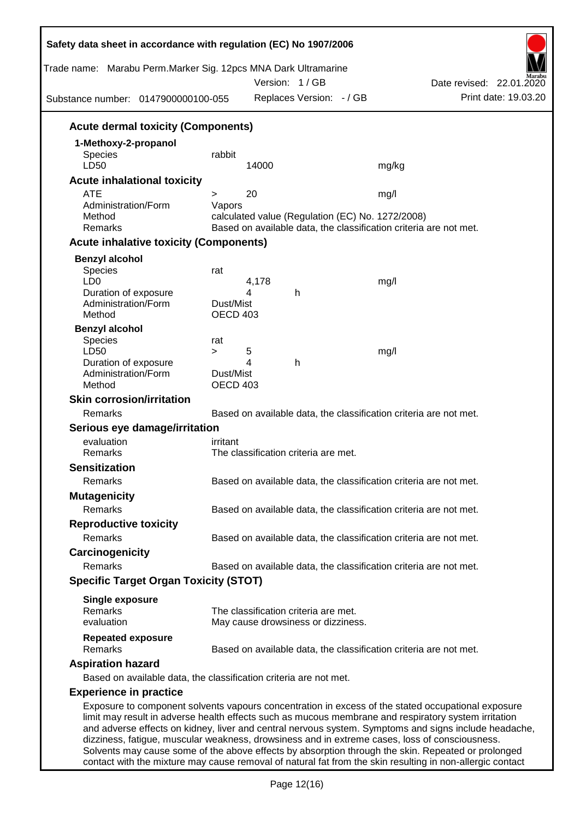| Trade name: Marabu Perm.Marker Sig. 12pcs MNA Dark Ultramarine<br>Substance number: 0147900000100-055                                                                                                                                                                                                                                                                                                                 |                                        |            | Version: 1/GB<br>Replaces Version: - / GB                                  |                                                                                                                               | Date revised: 22.01.2020 | Print date: 19.03.20 |
|-----------------------------------------------------------------------------------------------------------------------------------------------------------------------------------------------------------------------------------------------------------------------------------------------------------------------------------------------------------------------------------------------------------------------|----------------------------------------|------------|----------------------------------------------------------------------------|-------------------------------------------------------------------------------------------------------------------------------|--------------------------|----------------------|
| <b>Acute dermal toxicity (Components)</b>                                                                                                                                                                                                                                                                                                                                                                             |                                        |            |                                                                            |                                                                                                                               |                          |                      |
| 1-Methoxy-2-propanol<br>Species<br>LD50                                                                                                                                                                                                                                                                                                                                                                               | rabbit                                 | 14000      |                                                                            | mg/kg                                                                                                                         |                          |                      |
| <b>Acute inhalational toxicity</b>                                                                                                                                                                                                                                                                                                                                                                                    |                                        |            |                                                                            |                                                                                                                               |                          |                      |
| <b>ATE</b><br>Administration/Form<br>Method<br>Remarks                                                                                                                                                                                                                                                                                                                                                                | $\geq$<br>Vapors                       | 20         |                                                                            | mg/l<br>calculated value (Regulation (EC) No. 1272/2008)<br>Based on available data, the classification criteria are not met. |                          |                      |
| <b>Acute inhalative toxicity (Components)</b>                                                                                                                                                                                                                                                                                                                                                                         |                                        |            |                                                                            |                                                                                                                               |                          |                      |
| <b>Benzyl alcohol</b><br><b>Species</b><br>LD <sub>0</sub><br>Duration of exposure                                                                                                                                                                                                                                                                                                                                    | rat                                    | 4,178<br>4 | h                                                                          | mg/l                                                                                                                          |                          |                      |
| Administration/Form<br>Method<br><b>Benzyl alcohol</b>                                                                                                                                                                                                                                                                                                                                                                | Dust/Mist<br>OECD 403                  |            |                                                                            |                                                                                                                               |                          |                      |
| <b>Species</b><br>LD50<br>Duration of exposure<br>Administration/Form<br>Method                                                                                                                                                                                                                                                                                                                                       | rat<br>$\geq$<br>Dust/Mist<br>OECD 403 | 5<br>4     | h                                                                          | mg/l                                                                                                                          |                          |                      |
| <b>Skin corrosion/irritation</b>                                                                                                                                                                                                                                                                                                                                                                                      |                                        |            |                                                                            |                                                                                                                               |                          |                      |
| Remarks                                                                                                                                                                                                                                                                                                                                                                                                               |                                        |            |                                                                            | Based on available data, the classification criteria are not met.                                                             |                          |                      |
| Serious eye damage/irritation                                                                                                                                                                                                                                                                                                                                                                                         |                                        |            |                                                                            |                                                                                                                               |                          |                      |
| evaluation                                                                                                                                                                                                                                                                                                                                                                                                            | irritant                               |            |                                                                            |                                                                                                                               |                          |                      |
| Remarks                                                                                                                                                                                                                                                                                                                                                                                                               |                                        |            | The classification criteria are met.                                       |                                                                                                                               |                          |                      |
| <b>Sensitization</b>                                                                                                                                                                                                                                                                                                                                                                                                  |                                        |            |                                                                            |                                                                                                                               |                          |                      |
| Remarks                                                                                                                                                                                                                                                                                                                                                                                                               |                                        |            |                                                                            | Based on available data, the classification criteria are not met.                                                             |                          |                      |
| <b>Mutagenicity</b><br>Remarks                                                                                                                                                                                                                                                                                                                                                                                        |                                        |            |                                                                            | Based on available data, the classification criteria are not met.                                                             |                          |                      |
| <b>Reproductive toxicity</b><br>Remarks                                                                                                                                                                                                                                                                                                                                                                               |                                        |            |                                                                            | Based on available data, the classification criteria are not met.                                                             |                          |                      |
| Carcinogenicity                                                                                                                                                                                                                                                                                                                                                                                                       |                                        |            |                                                                            |                                                                                                                               |                          |                      |
| Remarks                                                                                                                                                                                                                                                                                                                                                                                                               |                                        |            |                                                                            | Based on available data, the classification criteria are not met.                                                             |                          |                      |
| <b>Specific Target Organ Toxicity (STOT)</b>                                                                                                                                                                                                                                                                                                                                                                          |                                        |            |                                                                            |                                                                                                                               |                          |                      |
| <b>Single exposure</b><br>Remarks<br>evaluation                                                                                                                                                                                                                                                                                                                                                                       |                                        |            | The classification criteria are met.<br>May cause drowsiness or dizziness. |                                                                                                                               |                          |                      |
| <b>Repeated exposure</b><br>Remarks                                                                                                                                                                                                                                                                                                                                                                                   |                                        |            |                                                                            | Based on available data, the classification criteria are not met.                                                             |                          |                      |
| <b>Aspiration hazard</b><br>Based on available data, the classification criteria are not met.                                                                                                                                                                                                                                                                                                                         |                                        |            |                                                                            |                                                                                                                               |                          |                      |
| <b>Experience in practice</b>                                                                                                                                                                                                                                                                                                                                                                                         |                                        |            |                                                                            |                                                                                                                               |                          |                      |
| Exposure to component solvents vapours concentration in excess of the stated occupational exposure<br>limit may result in adverse health effects such as mucous membrane and respiratory system irritation<br>and adverse effects on kidney, liver and central nervous system. Symptoms and signs include headache,<br>dizziness, fatigue, muscular weakness, drowsiness and in extreme cases, loss of consciousness. |                                        |            |                                                                            |                                                                                                                               |                          |                      |

Solvents may cause some of the above effects by absorption through the skin. Repeated or prolonged contact with the mixture may cause removal of natural fat from the skin resulting in non-allergic contact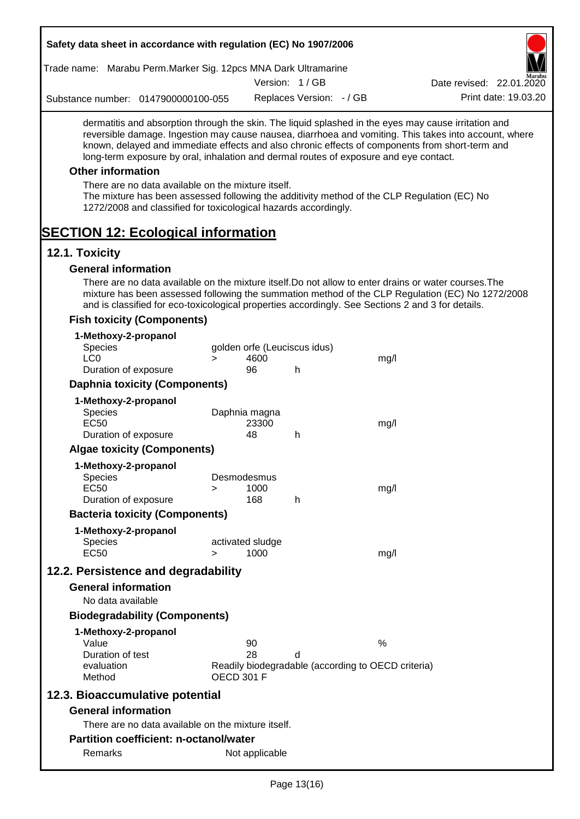| Safety data sheet in accordance with regulation (EC) No 1907/2006                                                                                                                                                                                                                                                                                                                                                                                                                                                                                    |                   |                  |                              |                                                    |                                                                                                       |
|------------------------------------------------------------------------------------------------------------------------------------------------------------------------------------------------------------------------------------------------------------------------------------------------------------------------------------------------------------------------------------------------------------------------------------------------------------------------------------------------------------------------------------------------------|-------------------|------------------|------------------------------|----------------------------------------------------|-------------------------------------------------------------------------------------------------------|
| Trade name: Marabu Perm.Marker Sig. 12pcs MNA Dark Ultramarine                                                                                                                                                                                                                                                                                                                                                                                                                                                                                       |                   |                  |                              |                                                    |                                                                                                       |
|                                                                                                                                                                                                                                                                                                                                                                                                                                                                                                                                                      |                   |                  | Version: 1/GB                |                                                    | Date revised: 22.01.2020                                                                              |
| Substance number: 0147900000100-055                                                                                                                                                                                                                                                                                                                                                                                                                                                                                                                  |                   |                  | Replaces Version: - / GB     |                                                    | Print date: 19.03.20                                                                                  |
| dermatitis and absorption through the skin. The liquid splashed in the eyes may cause irritation and<br>known, delayed and immediate effects and also chronic effects of components from short-term and<br>long-term exposure by oral, inhalation and dermal routes of exposure and eye contact.<br><b>Other information</b><br>There are no data available on the mixture itself.<br>The mixture has been assessed following the additivity method of the CLP Regulation (EC) No<br>1272/2008 and classified for toxicological hazards accordingly. |                   |                  |                              |                                                    | reversible damage. Ingestion may cause nausea, diarrhoea and vomiting. This takes into account, where |
| <b>SECTION 12: Ecological information</b>                                                                                                                                                                                                                                                                                                                                                                                                                                                                                                            |                   |                  |                              |                                                    |                                                                                                       |
| 12.1. Toxicity                                                                                                                                                                                                                                                                                                                                                                                                                                                                                                                                       |                   |                  |                              |                                                    |                                                                                                       |
| <b>General information</b>                                                                                                                                                                                                                                                                                                                                                                                                                                                                                                                           |                   |                  |                              |                                                    |                                                                                                       |
| There are no data available on the mixture itself. Do not allow to enter drains or water courses. The<br>and is classified for eco-toxicological properties accordingly. See Sections 2 and 3 for details.                                                                                                                                                                                                                                                                                                                                           |                   |                  |                              |                                                    | mixture has been assessed following the summation method of the CLP Regulation (EC) No 1272/2008      |
| <b>Fish toxicity (Components)</b>                                                                                                                                                                                                                                                                                                                                                                                                                                                                                                                    |                   |                  |                              |                                                    |                                                                                                       |
| 1-Methoxy-2-propanol<br>Species<br>LC <sub>0</sub>                                                                                                                                                                                                                                                                                                                                                                                                                                                                                                   | $\geq$            | 4600             | golden orfe (Leuciscus idus) | mg/l                                               |                                                                                                       |
| Duration of exposure                                                                                                                                                                                                                                                                                                                                                                                                                                                                                                                                 |                   | 96               | h.                           |                                                    |                                                                                                       |
| <b>Daphnia toxicity (Components)</b>                                                                                                                                                                                                                                                                                                                                                                                                                                                                                                                 |                   |                  |                              |                                                    |                                                                                                       |
| 1-Methoxy-2-propanol                                                                                                                                                                                                                                                                                                                                                                                                                                                                                                                                 |                   |                  |                              |                                                    |                                                                                                       |
| Species                                                                                                                                                                                                                                                                                                                                                                                                                                                                                                                                              |                   | Daphnia magna    |                              |                                                    |                                                                                                       |
| <b>EC50</b><br>Duration of exposure                                                                                                                                                                                                                                                                                                                                                                                                                                                                                                                  |                   | 23300<br>48      | h                            | mg/l                                               |                                                                                                       |
| <b>Algae toxicity (Components)</b>                                                                                                                                                                                                                                                                                                                                                                                                                                                                                                                   |                   |                  |                              |                                                    |                                                                                                       |
|                                                                                                                                                                                                                                                                                                                                                                                                                                                                                                                                                      |                   |                  |                              |                                                    |                                                                                                       |
| 1-Methoxy-2-propanol<br><b>Species</b>                                                                                                                                                                                                                                                                                                                                                                                                                                                                                                               |                   | Desmodesmus      |                              |                                                    |                                                                                                       |
| <b>EC50</b>                                                                                                                                                                                                                                                                                                                                                                                                                                                                                                                                          | >                 | 1000             |                              | mg/l                                               |                                                                                                       |
| Duration of exposure                                                                                                                                                                                                                                                                                                                                                                                                                                                                                                                                 |                   | 168              | h                            |                                                    |                                                                                                       |
| <b>Bacteria toxicity (Components)</b>                                                                                                                                                                                                                                                                                                                                                                                                                                                                                                                |                   |                  |                              |                                                    |                                                                                                       |
| 1-Methoxy-2-propanol                                                                                                                                                                                                                                                                                                                                                                                                                                                                                                                                 |                   |                  |                              |                                                    |                                                                                                       |
| <b>Species</b>                                                                                                                                                                                                                                                                                                                                                                                                                                                                                                                                       |                   | activated sludge |                              |                                                    |                                                                                                       |
| <b>EC50</b>                                                                                                                                                                                                                                                                                                                                                                                                                                                                                                                                          | $\geq$            | 1000             |                              | mg/l                                               |                                                                                                       |
| 12.2. Persistence and degradability                                                                                                                                                                                                                                                                                                                                                                                                                                                                                                                  |                   |                  |                              |                                                    |                                                                                                       |
| <b>General information</b>                                                                                                                                                                                                                                                                                                                                                                                                                                                                                                                           |                   |                  |                              |                                                    |                                                                                                       |
| No data available                                                                                                                                                                                                                                                                                                                                                                                                                                                                                                                                    |                   |                  |                              |                                                    |                                                                                                       |
| <b>Biodegradability (Components)</b>                                                                                                                                                                                                                                                                                                                                                                                                                                                                                                                 |                   |                  |                              |                                                    |                                                                                                       |
| 1-Methoxy-2-propanol                                                                                                                                                                                                                                                                                                                                                                                                                                                                                                                                 |                   |                  |                              |                                                    |                                                                                                       |
| Value<br>Duration of test                                                                                                                                                                                                                                                                                                                                                                                                                                                                                                                            |                   | 90<br>28         | d                            | $\%$                                               |                                                                                                       |
| evaluation<br>Method                                                                                                                                                                                                                                                                                                                                                                                                                                                                                                                                 | <b>OECD 301 F</b> |                  |                              | Readily biodegradable (according to OECD criteria) |                                                                                                       |
| 12.3. Bioaccumulative potential                                                                                                                                                                                                                                                                                                                                                                                                                                                                                                                      |                   |                  |                              |                                                    |                                                                                                       |
| <b>General information</b>                                                                                                                                                                                                                                                                                                                                                                                                                                                                                                                           |                   |                  |                              |                                                    |                                                                                                       |
| There are no data available on the mixture itself.                                                                                                                                                                                                                                                                                                                                                                                                                                                                                                   |                   |                  |                              |                                                    |                                                                                                       |
| <b>Partition coefficient: n-octanol/water</b>                                                                                                                                                                                                                                                                                                                                                                                                                                                                                                        |                   |                  |                              |                                                    |                                                                                                       |
| Remarks                                                                                                                                                                                                                                                                                                                                                                                                                                                                                                                                              |                   | Not applicable   |                              |                                                    |                                                                                                       |
|                                                                                                                                                                                                                                                                                                                                                                                                                                                                                                                                                      |                   |                  |                              |                                                    |                                                                                                       |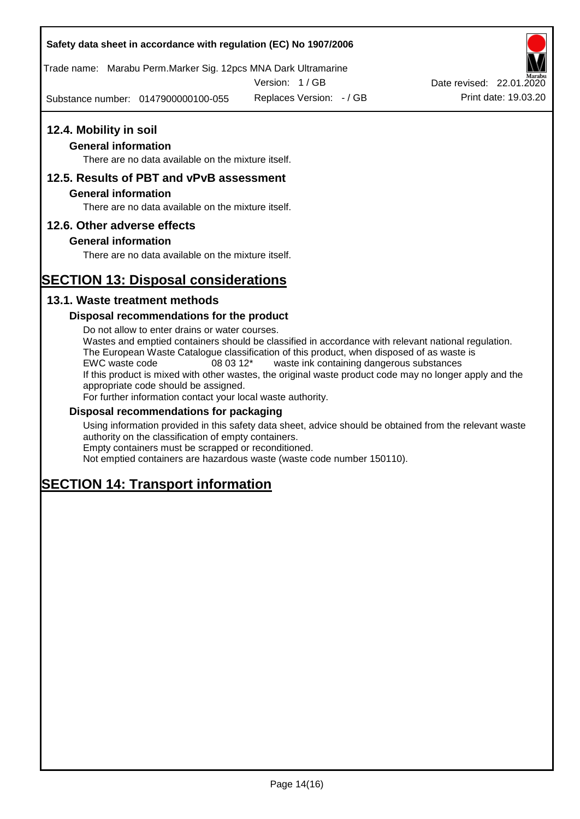Trade name: Marabu Perm.Marker Sig. 12pcs MNA Dark Ultramarine

Version: 1 / GB

Substance number: 0147900000100-055 Replaces Version: - / GB Print date: 19.03.20

# **12.4. Mobility in soil**

#### **General information**

There are no data available on the mixture itself.

#### **12.5. Results of PBT and vPvB assessment**

#### **General information**

There are no data available on the mixture itself.

#### **12.6. Other adverse effects**

#### **General information**

There are no data available on the mixture itself.

# **SECTION 13: Disposal considerations**

#### **13.1. Waste treatment methods**

#### **Disposal recommendations for the product**

Do not allow to enter drains or water courses. Wastes and emptied containers should be classified in accordance with relevant national regulation. The European Waste Catalogue classification of this product, when disposed of as waste is EWC waste code 08 03 12\* waste ink containing dangerous substances If this product is mixed with other wastes, the original waste product code may no longer apply and the appropriate code should be assigned. For further information contact your local waste authority.

#### **Disposal recommendations for packaging**

Using information provided in this safety data sheet, advice should be obtained from the relevant waste authority on the classification of empty containers. Empty containers must be scrapped or reconditioned.

Not emptied containers are hazardous waste (waste code number 150110).

# **SECTION 14: Transport information**

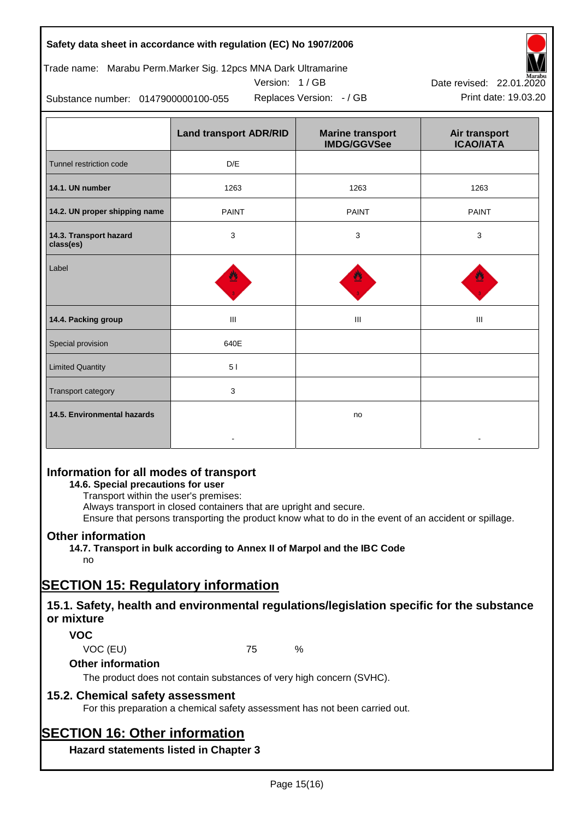Trade name: Marabu Perm.Marker Sig. 12pcs MNA Dark Ultramarine



Version: 1 / GB Replaces Version:  $-$  / GB Print date: 19.03.20

Substance number: 0147900000100-055

|                                     | <b>Land transport ADR/RID</b> | <b>Marine transport</b><br><b>IMDG/GGVSee</b> | Air transport<br><b>ICAO/IATA</b> |  |
|-------------------------------------|-------------------------------|-----------------------------------------------|-----------------------------------|--|
| Tunnel restriction code             | D/E                           |                                               |                                   |  |
| 14.1. UN number                     | 1263                          | 1263                                          | 1263                              |  |
| 14.2. UN proper shipping name       | <b>PAINT</b>                  | <b>PAINT</b>                                  | <b>PAINT</b>                      |  |
| 14.3. Transport hazard<br>class(es) | 3                             | 3                                             | 3                                 |  |
| Label                               |                               |                                               |                                   |  |
| 14.4. Packing group                 | Ш                             | Ш                                             | Ш                                 |  |
| Special provision                   | 640E                          |                                               |                                   |  |
| <b>Limited Quantity</b>             | 5 <sub>1</sub>                |                                               |                                   |  |
| Transport category                  | 3                             |                                               |                                   |  |
| 14.5. Environmental hazards         |                               | no                                            |                                   |  |

# **Information for all modes of transport**

**14.6. Special precautions for user**

Transport within the user's premises:

Always transport in closed containers that are upright and secure.

Ensure that persons transporting the product know what to do in the event of an accident or spillage.

# **Other information**

**14.7. Transport in bulk according to Annex II of Marpol and the IBC Code** no

# **SECTION 15: Regulatory information**

# **15.1. Safety, health and environmental regulations/legislation specific for the substance or mixture**

# **VOC**

VOC (EU) 75 %

**Other information**

The product does not contain substances of very high concern (SVHC).

# **15.2. Chemical safety assessment**

For this preparation a chemical safety assessment has not been carried out.

# **SECTION 16: Other information**

**Hazard statements listed in Chapter 3**